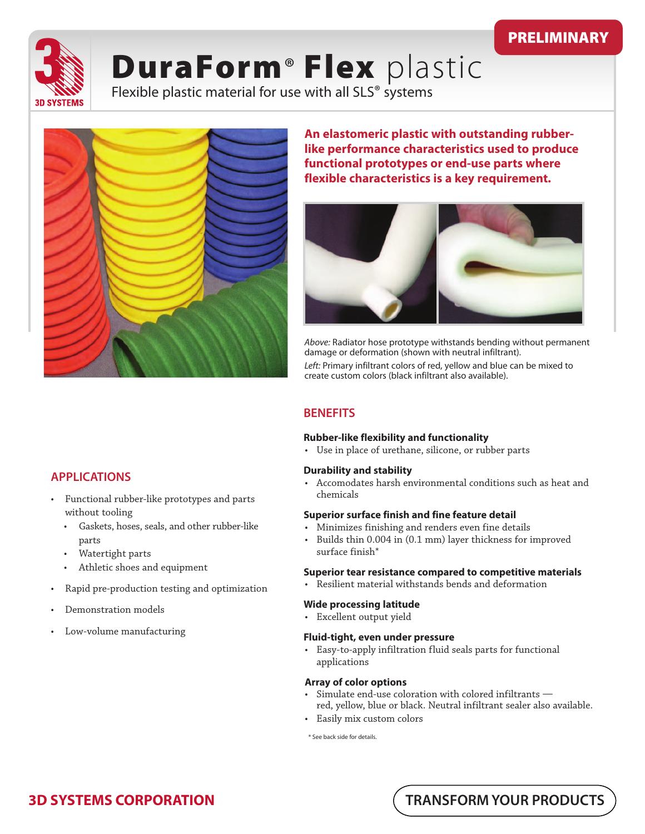# PRELIMINARY



# DuraForm<sup>®</sup> Flex plastic

Flexible plastic material for use with all SLS® systems



**An elastomeric plastic with outstanding rubberlike performance characteristics used to produce functional prototypes or end-use parts where flexible characteristics is a key requirement.** 



Above: Radiator hose prototype withstands bending without permanent damage or deformation (shown with neutral infiltrant). Left: Primary infiltrant colors of red, yellow and blue can be mixed to

create custom colors (black infiltrant also available).

## **BENEFITS**

#### **Rubber-like flexibility and functionality**

• Use in place of urethane, silicone, or rubber parts

#### **Durability and stability**

• Accomodates harsh environmental conditions such as heat and chemicals

#### **Superior surface finish and fine feature detail**

- Minimizes finishing and renders even fine details
- Builds thin 0.004 in (0.1 mm) layer thickness for improved surface finish\*

#### **Superior tear resistance compared to competitive materials**

• Resilient material withstands bends and deformation

#### **Wide processing latitude**

• Excellent output yield

#### **Fluid-tight, even under pressure**

• Easy-to-apply infiltration fluid seals parts for functional applications

#### **Array of color options**

- Simulate end-use coloration with colored infiltrants red, yellow, blue or black. Neutral infiltrant sealer also available.
- Easily mix custom colors

\* See back side for details.

# **APPLICATIONS**

- Functional rubber-like prototypes and parts without tooling
	- Gaskets, hoses, seals, and other rubber-like parts
	- Watertight parts
	- Athletic shoes and equipment
- Rapid pre-production testing and optimization
- Demonstration models
- Low-volume manufacturing

 **TRANSFORM YOUR PRODUCTS**